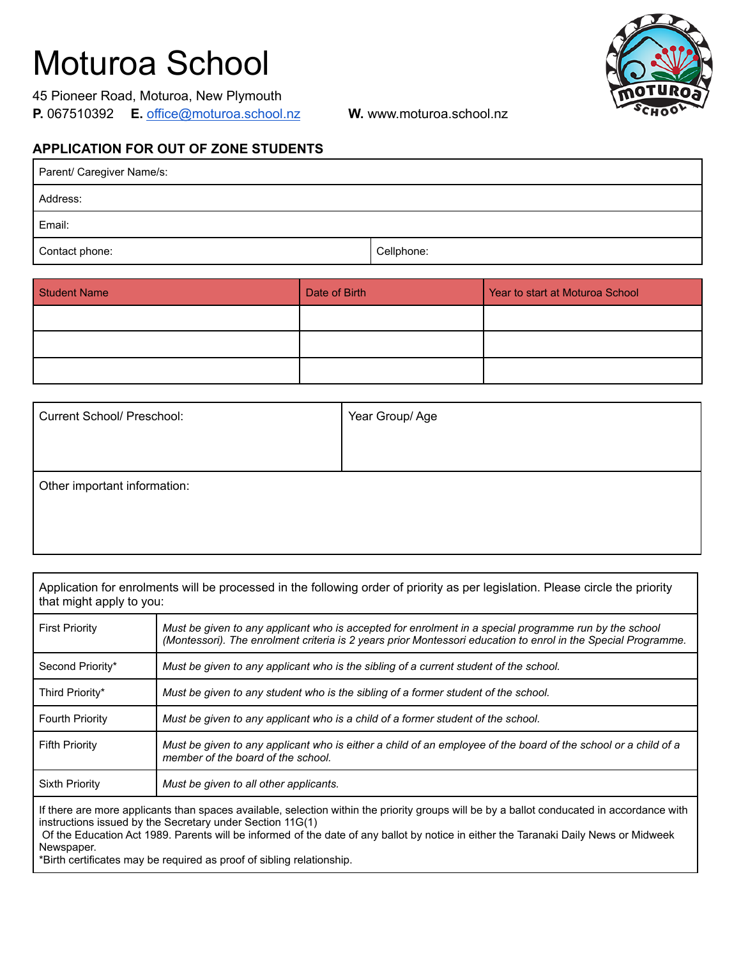## Moturoa School

|                     | 45 Pioneer Road, Moturoa, New Plymouth |
|---------------------|----------------------------------------|
| <b>P.</b> 067510392 | E. office@moturoa.school.nz            |



**W.** www.moturoa.school.nz

## **APPLICATION FOR OUT OF ZONE STUDENTS**

| Parent/ Caregiver Name/s: |            |  |
|---------------------------|------------|--|
| Address:                  |            |  |
| Email:                    |            |  |
| Contact phone:            | Cellphone: |  |

| <b>Student Name</b> | Date of Birth | Year to start at Moturoa School |
|---------------------|---------------|---------------------------------|
|                     |               |                                 |
|                     |               |                                 |
|                     |               |                                 |

| <b>Current School/ Preschool:</b> | Year Group/Age |
|-----------------------------------|----------------|
|                                   |                |
|                                   |                |
| Other important information:      |                |
|                                   |                |
|                                   |                |

| Application for enrolments will be processed in the following order of priority as per legislation. Please circle the priority<br>that might apply to you:                                                                                                                                                                                                                                                                                                                      |                                                                                                                                                                                                                        |  |
|---------------------------------------------------------------------------------------------------------------------------------------------------------------------------------------------------------------------------------------------------------------------------------------------------------------------------------------------------------------------------------------------------------------------------------------------------------------------------------|------------------------------------------------------------------------------------------------------------------------------------------------------------------------------------------------------------------------|--|
| <b>First Priority</b>                                                                                                                                                                                                                                                                                                                                                                                                                                                           | Must be given to any applicant who is accepted for enrolment in a special programme run by the school<br>(Montessori). The enrolment criteria is 2 years prior Montessori education to enrol in the Special Programme. |  |
| Second Priority*                                                                                                                                                                                                                                                                                                                                                                                                                                                                | Must be given to any applicant who is the sibling of a current student of the school.                                                                                                                                  |  |
| Third Priority*                                                                                                                                                                                                                                                                                                                                                                                                                                                                 | Must be given to any student who is the sibling of a former student of the school.                                                                                                                                     |  |
| <b>Fourth Priority</b>                                                                                                                                                                                                                                                                                                                                                                                                                                                          | Must be given to any applicant who is a child of a former student of the school.                                                                                                                                       |  |
| <b>Fifth Priority</b>                                                                                                                                                                                                                                                                                                                                                                                                                                                           | Must be given to any applicant who is either a child of an employee of the board of the school or a child of a<br>member of the board of the school.                                                                   |  |
| Sixth Priority                                                                                                                                                                                                                                                                                                                                                                                                                                                                  | Must be given to all other applicants.                                                                                                                                                                                 |  |
| If there are more applicants than spaces available, selection within the priority groups will be by a ballot conducated in accordance with<br>instructions issued by the Secretary under Section 11G(1)<br>Of the Education Act 1989. Parents will be informed of the date of any ballot by notice in either the Taranaki Daily News or Midweek<br>Newspaper.<br>- 그 사이 이 아이들은 아이들이 아이들이 있는 것이 없는 것이 없어서 그 사이를 하는 것이 없어서 아이들이 없었다. 이 사이를 하는 것이 없어서 아이들이 있는 것이 없어서 아이들이 있다. 이 사이 |                                                                                                                                                                                                                        |  |

\*Birth certificates may be required as proof of sibling relationship.